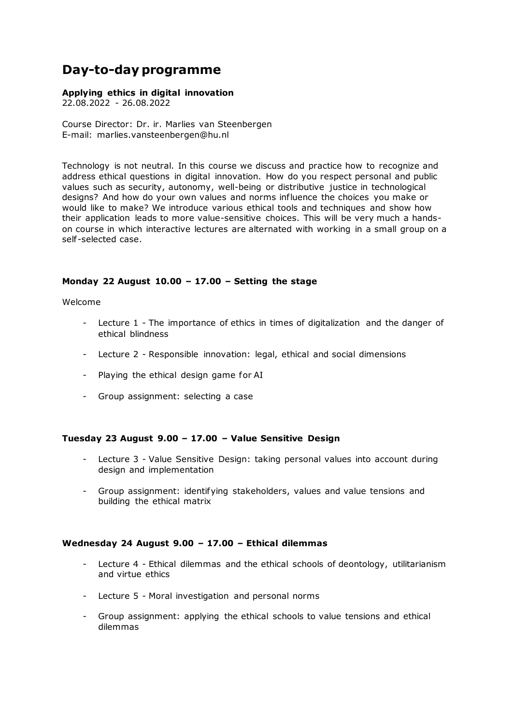# **Day-to-day programme**

#### **Applying ethics in digital innovation**

22.08.2022 - 26.08.2022

Course Director: Dr. ir. Marlies van Steenbergen E-mail: marlies.vansteenbergen@hu.nl

Technology is not neutral. In this course we discuss and practice how to recognize and address ethical questions in digital innovation. How do you respect personal and public values such as security, autonomy, well-being or distributive justice in technological designs? And how do your own values and norms influence the choices you make or would like to make? We introduce various ethical tools and techniques and show how their application leads to more value-sensitive choices. This will be very much a handson course in which interactive lectures are alternated with working in a small group on a self -selected case.

## **Monday 22 August 10.00 – 17.00 – Setting the stage**

Welcome

- Lecture 1 The importance of ethics in times of digitalization and the danger of ethical blindness
- Lecture 2 Responsible innovation: legal, ethical and social dimensions
- Playing the ethical design game for AI
- Group assignment: selecting a case

#### **Tuesday 23 August 9.00 – 17.00 – Value Sensitive Design**

- Lecture 3 Value Sensitive Design: taking personal values into account during design and implementation
- Group assignment: identifying stakeholders, values and value tensions and building the ethical matrix

#### **Wednesday 24 August 9.00 – 17.00 – Ethical dilemmas**

- Lecture 4 Ethical dilemmas and the ethical schools of deontology, utilitarianism and virtue ethics
- Lecture 5 Moral investigation and personal norms
- Group assignment: applying the ethical schools to value tensions and ethical dilemmas